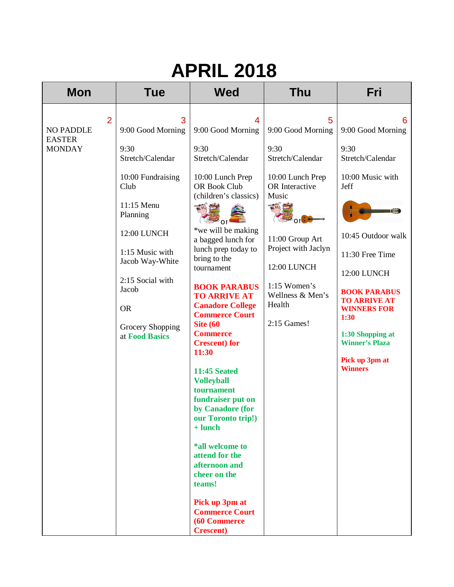| <b>Mon</b>                                                           | Tue                                                                                                                                                                                                                                            | <b>Wed</b>                                                                                                                                                                                                                                                                                                                                                                                                                                                                                                                                                                                                                                                                                          | <b>Thu</b>                                                                                                                                                                                                                                                    | Fri                                                                                                                                                                                                                                                                                                                      |
|----------------------------------------------------------------------|------------------------------------------------------------------------------------------------------------------------------------------------------------------------------------------------------------------------------------------------|-----------------------------------------------------------------------------------------------------------------------------------------------------------------------------------------------------------------------------------------------------------------------------------------------------------------------------------------------------------------------------------------------------------------------------------------------------------------------------------------------------------------------------------------------------------------------------------------------------------------------------------------------------------------------------------------------------|---------------------------------------------------------------------------------------------------------------------------------------------------------------------------------------------------------------------------------------------------------------|--------------------------------------------------------------------------------------------------------------------------------------------------------------------------------------------------------------------------------------------------------------------------------------------------------------------------|
| $\overline{2}$<br><b>NO PADDLE</b><br><b>EASTER</b><br><b>MONDAY</b> | 3<br>9:00 Good Morning<br>9:30<br>Stretch/Calendar<br>10:00 Fundraising<br>Club<br>11:15 Menu<br>Planning<br>12:00 LUNCH<br>1:15 Music with<br>Jacob Way-White<br>2:15 Social with<br>Jacob<br><b>OR</b><br>Grocery Shopping<br>at Food Basics | 4<br>9:00 Good Morning<br>9:30<br>Stretch/Calendar<br>10:00 Lunch Prep<br><b>OR Book Club</b><br>(children's classics)<br>一个年<br>$\bullet$ or $\bullet$<br>*we will be making<br>a bagged lunch for<br>lunch prep today to<br>bring to the<br>tournament<br><b>BOOK PARABUS</b><br><b>TO ARRIVE AT</b><br><b>Canadore College</b><br><b>Commerce Court</b><br><b>Site (60</b><br><b>Commerce</b><br><b>Crescent</b> ) for<br>11:30<br><b>11:45 Seated</b><br><b>Volleyball</b><br>tournament<br>fundraiser put on<br>by Canadore (for<br>our Toronto trip!)<br>$+$ lunch<br>*all welcome to<br>attend for the<br>afternoon and<br>cheer on the<br>teams!<br>Pick up 3pm at<br><b>Commerce Court</b> | 5<br>9:00 Good Morning<br>9:30<br>Stretch/Calendar<br>10:00 Lunch Prep<br>OR Interactive<br>Music<br>$\mathbb{R}$<br>$\sim$ or $\sim$<br>11:00 Group Art<br>Project with Jaclyn<br>12:00 LUNCH<br>$1:15$ Women's<br>Wellness & Men's<br>Health<br>2:15 Games! | 6<br>9:00 Good Morning<br>9:30<br>Stretch/Calendar<br>10:00 Music with<br>Jeff<br><b>Summanisme</b><br>10:45 Outdoor walk<br>11:30 Free Time<br>12:00 LUNCH<br><b>BOOK PARABUS</b><br><b>TO ARRIVE AT</b><br><b>WINNERS FOR</b><br>1:30<br>1:30 Shopping at<br><b>Winner's Plaza</b><br>Pick up 3pm at<br><b>Winners</b> |
|                                                                      |                                                                                                                                                                                                                                                | (60 Commerce<br><b>Crescent</b> )                                                                                                                                                                                                                                                                                                                                                                                                                                                                                                                                                                                                                                                                   |                                                                                                                                                                                                                                                               |                                                                                                                                                                                                                                                                                                                          |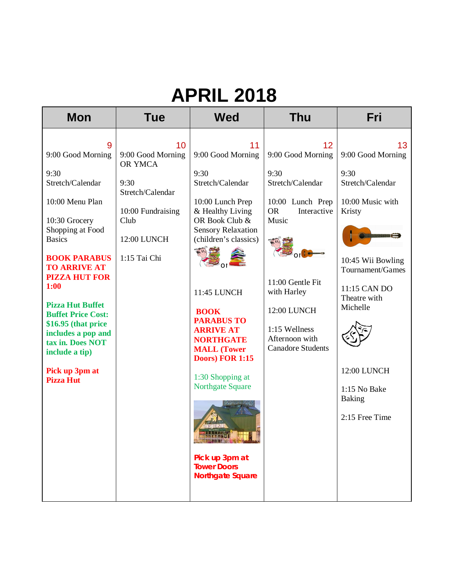| <b>Mon</b>                                                                                                                                                                                                                                                                                                                                                                                 | <b>Tue</b>                                                                                                                 | <b>Wed</b>                                                                                                                                                                                                                                                                                                                                                                                                                                                               | <b>Thu</b>                                                                                                                                                                                                                    | Fri                                                                                                                                                                                                                                                           |
|--------------------------------------------------------------------------------------------------------------------------------------------------------------------------------------------------------------------------------------------------------------------------------------------------------------------------------------------------------------------------------------------|----------------------------------------------------------------------------------------------------------------------------|--------------------------------------------------------------------------------------------------------------------------------------------------------------------------------------------------------------------------------------------------------------------------------------------------------------------------------------------------------------------------------------------------------------------------------------------------------------------------|-------------------------------------------------------------------------------------------------------------------------------------------------------------------------------------------------------------------------------|---------------------------------------------------------------------------------------------------------------------------------------------------------------------------------------------------------------------------------------------------------------|
| 9<br>9:00 Good Morning<br>9:30<br>Stretch/Calendar<br>10:00 Menu Plan<br>10:30 Grocery<br>Shopping at Food<br><b>Basics</b><br><b>BOOK PARABUS</b><br><b>TO ARRIVE AT</b><br><b>PIZZA HUT FOR</b><br>1:00<br><b>Pizza Hut Buffet</b><br><b>Buffet Price Cost:</b><br>\$16.95 (that price<br>includes a pop and<br>tax in. Does NOT<br>include a tip)<br>Pick up 3pm at<br><b>Pizza Hut</b> | 10<br>9:00 Good Morning<br>OR YMCA<br>9:30<br>Stretch/Calendar<br>10:00 Fundraising<br>Club<br>12:00 LUNCH<br>1:15 Tai Chi | 11<br>9:00 Good Morning<br>9:30<br>Stretch/Calendar<br>10:00 Lunch Prep<br>& Healthy Living<br>OR Book Club &<br><b>Sensory Relaxation</b><br>(children's classics)<br>11:45 LUNCH<br><b>BOOK</b><br><b>PARABUS TO</b><br><b>ARRIVE AT</b><br><b>NORTHGATE</b><br><b>MALL</b> (Tower<br>Doors) FOR 1:15<br>1:30 Shopping at<br><b>Northgate Square</b><br><b>REAL PAIL LEADER AND LODGED AT LCCC.</b><br>Pick up 3pm at<br><b>Tower Doors</b><br><b>Northgate Square</b> | 12<br>9:00 Good Morning<br>9:30<br>Stretch/Calendar<br>10:00 Lunch Prep<br>Interactive<br><b>OR</b><br>Music<br>11:00 Gentle Fit<br>with Harley<br>12:00 LUNCH<br>1:15 Wellness<br>Afternoon with<br><b>Canadore Students</b> | 13<br>9:00 Good Morning<br>9:30<br>Stretch/Calendar<br>10:00 Music with<br>Kristy<br><b>Samhanan C</b><br>10:45 Wii Bowling<br>Tournament/Games<br>11:15 CAN DO<br>Theatre with<br>Michelle<br>12:00 LUNCH<br>1:15 No Bake<br><b>Baking</b><br>2:15 Free Time |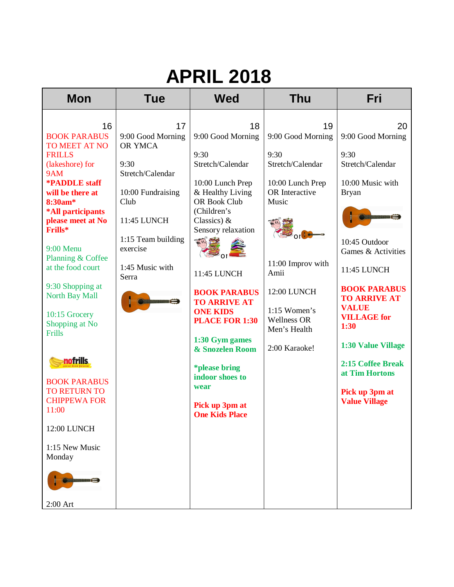| <b>Mon</b>                                                                                                                                                                                                                                                                                                                                                                                                                                                                                                                               | <b>Tue</b>                                                                                                                                                                                  | <b>Wed</b>                                                                                                                                                                                                                                                                                                                                                                                                           | <b>Thu</b>                                                                                                                                                                                                              | Fri                                                                                                                                                                                                                                                                                                                                                                       |
|------------------------------------------------------------------------------------------------------------------------------------------------------------------------------------------------------------------------------------------------------------------------------------------------------------------------------------------------------------------------------------------------------------------------------------------------------------------------------------------------------------------------------------------|---------------------------------------------------------------------------------------------------------------------------------------------------------------------------------------------|----------------------------------------------------------------------------------------------------------------------------------------------------------------------------------------------------------------------------------------------------------------------------------------------------------------------------------------------------------------------------------------------------------------------|-------------------------------------------------------------------------------------------------------------------------------------------------------------------------------------------------------------------------|---------------------------------------------------------------------------------------------------------------------------------------------------------------------------------------------------------------------------------------------------------------------------------------------------------------------------------------------------------------------------|
| 16<br><b>BOOK PARABUS</b><br>TO MEET AT NO<br><b>FRILLS</b><br>(lakeshore) for<br>9AM<br><b>*PADDLE</b> staff<br>will be there at<br>8:30am*<br>*All participants<br>please meet at No<br>Frills*<br>9:00 Menu<br>Planning & Coffee<br>at the food court<br>9:30 Shopping at<br><b>North Bay Mall</b><br>10:15 Grocery<br>Shopping at No<br>Frills<br><b>nofrills</b><br><b>BOOK PARABUS</b><br><b>TO RETURN TO</b><br><b>CHIPPEWA FOR</b><br>11:00<br>12:00 LUNCH<br>1:15 New Music<br>Monday<br><b>The Communication</b><br>$2:00$ Art | 17<br>9:00 Good Morning<br>OR YMCA<br>9:30<br>Stretch/Calendar<br>10:00 Fundraising<br>Club<br>11:45 LUNCH<br>1:15 Team building<br>exercise<br>1:45 Music with<br>Serra<br>Communists (22) | 18<br>9:00 Good Morning<br>9:30<br>Stretch/Calendar<br>10:00 Lunch Prep<br>& Healthy Living<br>OR Book Club<br>(Children's<br>Classics) $&$<br>Sensory relaxation<br>一个号<br>11:45 LUNCH<br><b>BOOK PARABUS</b><br><b>TO ARRIVE AT</b><br><b>ONE KIDS</b><br><b>PLACE FOR 1:30</b><br>1:30 Gym games<br>& Snozelen Room<br><i>*please bring</i><br>indoor shoes to<br>wear<br>Pick up 3pm at<br><b>One Kids Place</b> | 19<br>9:00 Good Morning<br>9:30<br>Stretch/Calendar<br>10:00 Lunch Prep<br>OR Interactive<br>Music<br>11:00 Improv with<br>Amii<br>12:00 LUNCH<br>$1:15$ Women's<br><b>Wellness OR</b><br>Men's Health<br>2:00 Karaoke! | 20<br>9:00 Good Morning<br>9:30<br>Stretch/Calendar<br>10:00 Music with<br><b>Bryan</b><br><b>Samhangaara gi</b><br>10:45 Outdoor<br>Games & Activities<br>11:45 LUNCH<br><b>BOOK PARABUS</b><br><b>TO ARRIVE AT</b><br><b>VALUE</b><br><b>VILLAGE</b> for<br>1:30<br>1:30 Value Village<br>2:15 Coffee Break<br>at Tim Hortons<br>Pick up 3pm at<br><b>Value Village</b> |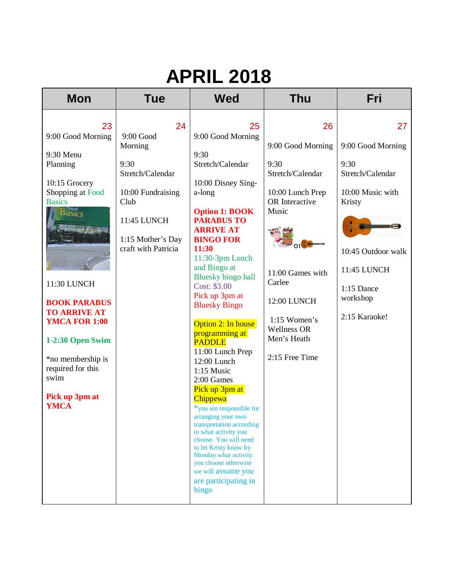| <b>Mon</b>                                                                                                                                                                                                                                                                                                                        | <b>Tue</b>                                                                                                                                       | <b>Wed</b>                                                                                                                                                                                                                                                                                                                                                                                                                                                                                                                                                                                                                                                                                                                        | <b>Thu</b>                                                                                                                                                                                                               | Fri                                                                                                                                                                                            |
|-----------------------------------------------------------------------------------------------------------------------------------------------------------------------------------------------------------------------------------------------------------------------------------------------------------------------------------|--------------------------------------------------------------------------------------------------------------------------------------------------|-----------------------------------------------------------------------------------------------------------------------------------------------------------------------------------------------------------------------------------------------------------------------------------------------------------------------------------------------------------------------------------------------------------------------------------------------------------------------------------------------------------------------------------------------------------------------------------------------------------------------------------------------------------------------------------------------------------------------------------|--------------------------------------------------------------------------------------------------------------------------------------------------------------------------------------------------------------------------|------------------------------------------------------------------------------------------------------------------------------------------------------------------------------------------------|
| 23<br>9:00 Good Morning<br>9:30 Menu<br>Planning<br>10:15 Grocery<br>Shopping at Food<br><b>Basics</b><br>B <sup>rood</sup><br>Basics<br>11:30 LUNCH<br><b>BOOK PARABUS</b><br><b>TO ARRIVE AT</b><br><b>YMCA FOR 1:00</b><br>1-2:30 Open Swim<br>*no membership is<br>required for this<br>swim<br>Pick up 3pm at<br><b>YMCA</b> | 24<br>$9:00$ Good<br>Morning<br>9:30<br>Stretch/Calendar<br>10:00 Fundraising<br>Club<br>11:45 LUNCH<br>1:15 Mother's Day<br>craft with Patricia | 25<br>9:00 Good Morning<br>9:30<br>Stretch/Calendar<br>10:00 Disney Sing-<br>a-long<br><b>Option 1: BOOK</b><br><b>PARABUS TO</b><br><b>ARRIVE AT</b><br><b>BINGO FOR</b><br>11:30<br>11:30-3pm Lunch<br>and Bingo at<br><b>Bluesky bingo hall</b><br>Cost: \$3.00<br>Pick up 3pm at<br><b>Bluesky Bingo</b><br>Option 2: In house<br>programming at<br><b>PADDLE</b><br>11:00 Lunch Prep<br>12:00 Lunch<br>1:15 Music<br>2:00 Games<br>Pick up 3pm at<br>Chippewa<br>*you are responsible for<br>arranging your own<br>transportation according<br>to what activity you<br>choose. You will need<br>to let Kristy know by<br>Monday what activity<br>you choose otherwise<br>we will assume you<br>are participating in<br>bingo | 26<br>9:00 Good Morning<br>9:30<br>Stretch/Calendar<br>10:00 Lunch Prep<br>OR Interactive<br>Music<br>11:00 Games with<br>Carlee<br>12:00 LUNCH<br>$1:15$ Women's<br><b>Wellness OR</b><br>Men's Heath<br>2:15 Free Time | 27<br>9:00 Good Morning<br>9:30<br>Stretch/Calendar<br>10:00 Music with<br>Kristy<br><b>Samhunggay &amp;</b><br>10:45 Outdoor walk<br>11:45 LUNCH<br>$1:15$ Dance<br>workshop<br>2:15 Karaoke! |